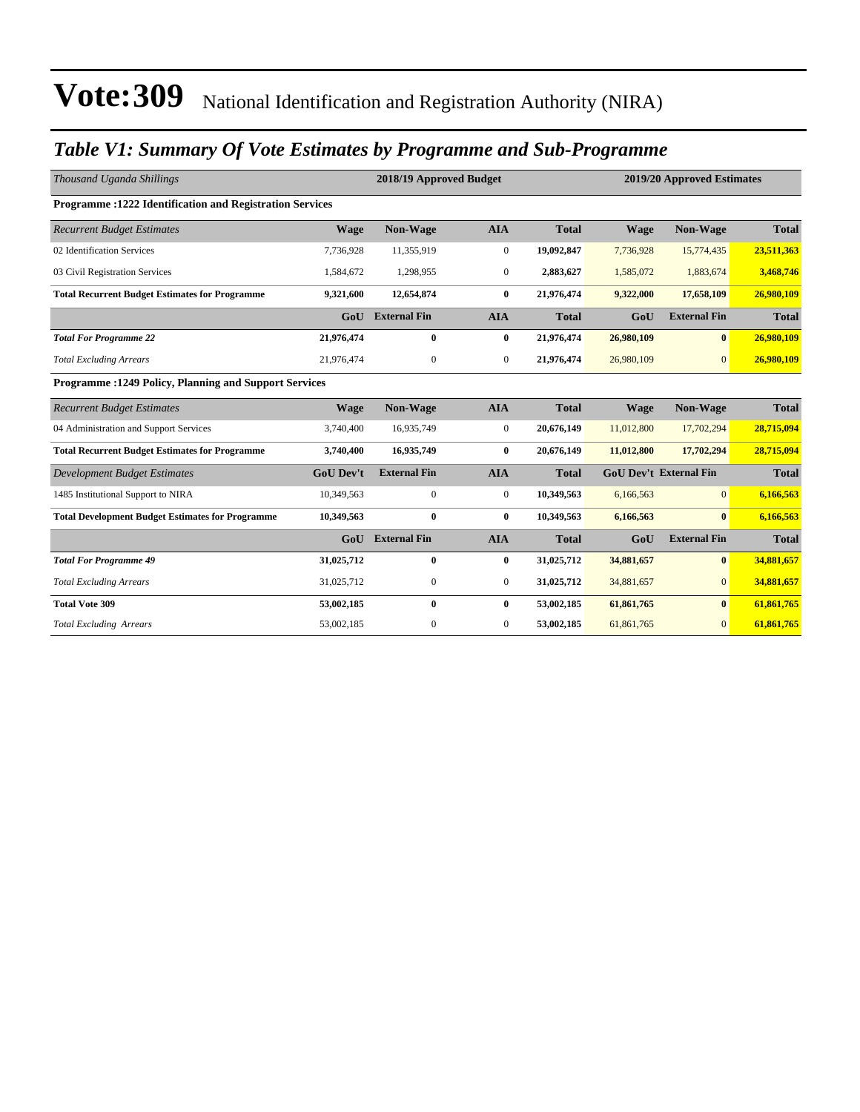### *Table V1: Summary Of Vote Estimates by Programme and Sub-Programme*

| Thousand Uganda Shillings                                       |                  | 2018/19 Approved Budget |                |              |             | 2019/20 Approved Estimates    |              |  |
|-----------------------------------------------------------------|------------------|-------------------------|----------------|--------------|-------------|-------------------------------|--------------|--|
| <b>Programme: 1222 Identification and Registration Services</b> |                  |                         |                |              |             |                               |              |  |
| <b>Recurrent Budget Estimates</b>                               | <b>Wage</b>      | Non-Wage                | <b>AIA</b>     | <b>Total</b> | <b>Wage</b> | Non-Wage                      | <b>Total</b> |  |
| 02 Identification Services                                      | 7,736,928        | 11,355,919              | $\mathbf{0}$   | 19,092,847   | 7,736,928   | 15,774,435                    | 23,511,363   |  |
| 03 Civil Registration Services                                  | 1,584,672        | 1,298,955               | $\overline{0}$ | 2,883,627    | 1,585,072   | 1,883,674                     | 3,468,746    |  |
| <b>Total Recurrent Budget Estimates for Programme</b>           | 9,321,600        | 12,654,874              | $\bf{0}$       | 21,976,474   | 9,322,000   | 17,658,109                    | 26,980,109   |  |
|                                                                 | GoU              | <b>External Fin</b>     | <b>AIA</b>     | <b>Total</b> | GoU         | <b>External Fin</b>           | <b>Total</b> |  |
| <b>Total For Programme 22</b>                                   | 21,976,474       | $\mathbf{0}$            | $\bf{0}$       | 21,976,474   | 26,980,109  | $\mathbf{0}$                  | 26,980,109   |  |
| <b>Total Excluding Arrears</b>                                  | 21,976,474       | $\mathbf{0}$            | $\overline{0}$ | 21,976,474   | 26,980,109  | $\overline{0}$                | 26,980,109   |  |
| <b>Programme: 1249 Policy, Planning and Support Services</b>    |                  |                         |                |              |             |                               |              |  |
| <b>Recurrent Budget Estimates</b>                               | <b>Wage</b>      | Non-Wage                | <b>AIA</b>     | <b>Total</b> | <b>Wage</b> | <b>Non-Wage</b>               | <b>Total</b> |  |
| 04 Administration and Support Services                          | 3,740,400        | 16,935,749              | $\mathbf{0}$   | 20,676,149   | 11,012,800  | 17,702,294                    | 28,715,094   |  |
| <b>Total Recurrent Budget Estimates for Programme</b>           | 3,740,400        | 16,935,749              | $\bf{0}$       | 20,676,149   | 11,012,800  | 17,702,294                    | 28,715,094   |  |
| <b>Development Budget Estimates</b>                             | <b>GoU Dev't</b> | <b>External Fin</b>     | <b>AIA</b>     | <b>Total</b> |             | <b>GoU Dev't External Fin</b> | <b>Total</b> |  |
| 1485 Institutional Support to NIRA                              | 10,349,563       | $\mathbf{0}$            | $\overline{0}$ | 10,349,563   | 6,166,563   | $\Omega$                      | 6,166,563    |  |
| <b>Total Development Budget Estimates for Programme</b>         | 10,349,563       | $\mathbf{0}$            | $\bf{0}$       | 10,349,563   | 6,166,563   | $\mathbf{0}$                  | 6,166,563    |  |
|                                                                 | GoU              | <b>External Fin</b>     | <b>AIA</b>     | <b>Total</b> | GoU         | <b>External Fin</b>           | <b>Total</b> |  |
| <b>Total For Programme 49</b>                                   | 31,025,712       | $\mathbf{0}$            | $\bf{0}$       | 31,025,712   | 34,881,657  | $\mathbf{0}$                  | 34,881,657   |  |
| <b>Total Excluding Arrears</b>                                  | 31,025,712       | $\mathbf{0}$            | $\overline{0}$ | 31,025,712   | 34,881,657  | $\overline{0}$                | 34,881,657   |  |
| <b>Total Vote 309</b>                                           | 53,002,185       | $\mathbf{0}$            | $\bf{0}$       | 53,002,185   | 61,861,765  | $\mathbf{0}$                  | 61,861,765   |  |
| <b>Total Excluding Arrears</b>                                  | 53,002,185       | $\mathbf{0}$            | $\mathbf{0}$   | 53,002,185   | 61,861,765  | $\mathbf{0}$                  | 61,861,765   |  |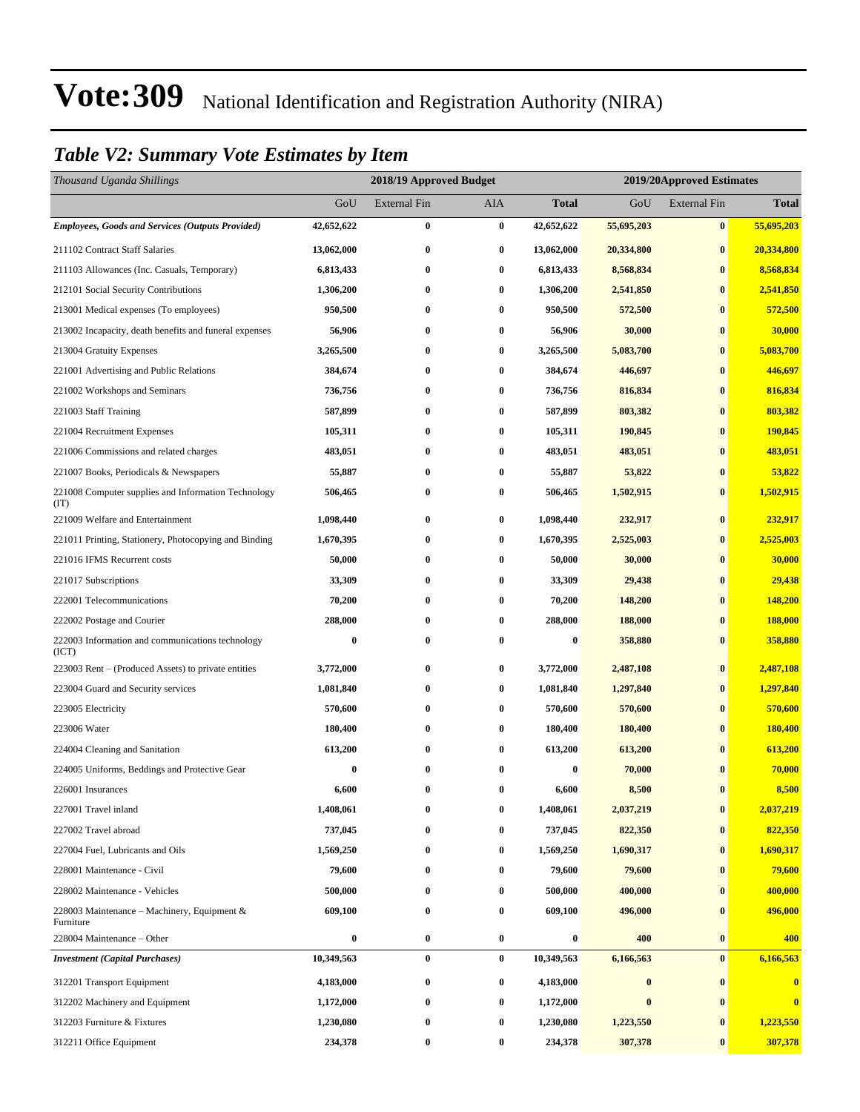#### *Table V2: Summary Vote Estimates by Item*

| Thousand Uganda Shillings                                   |                  | 2018/19 Approved Budget |            |                  | 2019/20Approved Estimates |                     |              |
|-------------------------------------------------------------|------------------|-------------------------|------------|------------------|---------------------------|---------------------|--------------|
|                                                             | GoU              | <b>External Fin</b>     | <b>AIA</b> | <b>Total</b>     | GoU                       | <b>External Fin</b> | <b>Total</b> |
| <b>Employees, Goods and Services (Outputs Provided)</b>     | 42,652,622       | $\bf{0}$                | $\bf{0}$   | 42,652,622       | 55,695,203                | $\bf{0}$            | 55,695,203   |
| 211102 Contract Staff Salaries                              | 13,062,000       | $\bf{0}$                | $\bf{0}$   | 13,062,000       | 20,334,800                | $\bf{0}$            | 20,334,800   |
| 211103 Allowances (Inc. Casuals, Temporary)                 | 6,813,433        | 0                       | $\bf{0}$   | 6,813,433        | 8,568,834                 | $\bf{0}$            | 8,568,834    |
| 212101 Social Security Contributions                        | 1,306,200        | 0                       | $\bf{0}$   | 1,306,200        | 2,541,850                 | $\bf{0}$            | 2,541,850    |
| 213001 Medical expenses (To employees)                      | 950,500          | 0                       | $\bf{0}$   | 950,500          | 572,500                   | $\bf{0}$            | 572,500      |
| 213002 Incapacity, death benefits and funeral expenses      | 56,906           | $\bf{0}$                | $\bf{0}$   | 56,906           | 30,000                    | $\bf{0}$            | 30,000       |
| 213004 Gratuity Expenses                                    | 3,265,500        | $\bf{0}$                | $\bf{0}$   | 3,265,500        | 5,083,700                 | $\bf{0}$            | 5,083,700    |
| 221001 Advertising and Public Relations                     | 384,674          | 0                       | $\bf{0}$   | 384,674          | 446,697                   | $\bf{0}$            | 446,697      |
| 221002 Workshops and Seminars                               | 736,756          | 0                       | $\bf{0}$   | 736,756          | 816,834                   | $\bf{0}$            | 816,834      |
| 221003 Staff Training                                       | 587,899          | 0                       | $\bf{0}$   | 587,899          | 803,382                   | $\bf{0}$            | 803,382      |
| 221004 Recruitment Expenses                                 | 105,311          | 0                       | $\bf{0}$   | 105,311          | 190,845                   | $\bf{0}$            | 190,845      |
| 221006 Commissions and related charges                      | 483,051          | $\bf{0}$                | $\bf{0}$   | 483,051          | 483,051                   | $\bf{0}$            | 483,051      |
| 221007 Books, Periodicals & Newspapers                      | 55,887           | 0                       | $\bf{0}$   | 55,887           | 53,822                    | $\bf{0}$            | 53,822       |
| 221008 Computer supplies and Information Technology<br>(TT) | 506,465          | $\bf{0}$                | $\bf{0}$   | 506,465          | 1,502,915                 | $\bf{0}$            | 1,502,915    |
| 221009 Welfare and Entertainment                            | 1,098,440        | $\bf{0}$                | $\bf{0}$   | 1,098,440        | 232,917                   | $\bf{0}$            | 232,917      |
| 221011 Printing, Stationery, Photocopying and Binding       | 1,670,395        | 0                       | $\bf{0}$   | 1,670,395        | 2,525,003                 | $\bf{0}$            | 2,525,003    |
| 221016 IFMS Recurrent costs                                 | 50,000           | 0                       | $\bf{0}$   | 50,000           | 30,000                    | $\bf{0}$            | 30,000       |
| 221017 Subscriptions                                        | 33,309           | $\bf{0}$                | $\bf{0}$   | 33,309           | 29,438                    | $\bf{0}$            | 29,438       |
| 222001 Telecommunications                                   | 70,200           | 0                       | $\bf{0}$   | 70,200           | 148,200                   | $\bf{0}$            | 148,200      |
| 222002 Postage and Courier                                  | 288,000          | 0                       | $\bf{0}$   | 288,000          | 188,000                   | $\bf{0}$            | 188,000      |
| 222003 Information and communications technology<br>(ICT)   | $\bf{0}$         | 0                       | $\bf{0}$   | $\boldsymbol{0}$ | 358,880                   | $\bf{0}$            | 358,880      |
| 223003 Rent – (Produced Assets) to private entities         | 3,772,000        | $\bf{0}$                | $\bf{0}$   | 3,772,000        | 2,487,108                 | $\bf{0}$            | 2,487,108    |
| 223004 Guard and Security services                          | 1,081,840        | 0                       | $\bf{0}$   | 1,081,840        | 1,297,840                 | $\bf{0}$            | 1,297,840    |
| 223005 Electricity                                          | 570,600          | 0                       | $\bf{0}$   | 570,600          | 570,600                   | $\bf{0}$            | 570,600      |
| 223006 Water                                                | 180,400          | 0                       | $\bf{0}$   | 180,400          | 180,400                   | $\bf{0}$            | 180,400      |
| 224004 Cleaning and Sanitation                              | 613,200          | 0                       | $\bf{0}$   | 613,200          | 613,200                   | $\bf{0}$            | 613,200      |
| 224005 Uniforms, Beddings and Protective Gear               | 0                | 0                       | 0          | 0                | 70,000                    | $\bf{0}$            | 70,000       |
| 226001 Insurances                                           | 6,600            | $\bf{0}$                | $\bf{0}$   | 6,600            | 8,500                     | $\bf{0}$            | 8,500        |
| 227001 Travel inland                                        | 1,408,061        | 0                       | $\bf{0}$   | 1,408,061        | 2,037,219                 | $\bf{0}$            | 2,037,219    |
| 227002 Travel abroad                                        | 737,045          | 0                       | $\bf{0}$   | 737,045          | 822,350                   | $\bf{0}$            | 822,350      |
| 227004 Fuel, Lubricants and Oils                            | 1,569,250        | 0                       | $\bf{0}$   | 1,569,250        | 1,690,317                 | $\bf{0}$            | 1,690,317    |
| 228001 Maintenance - Civil                                  | 79,600           | $\bf{0}$                | $\bf{0}$   | 79,600           | 79,600                    | $\bf{0}$            | 79,600       |
| 228002 Maintenance - Vehicles                               | 500,000          | $\bf{0}$                | $\bf{0}$   | 500,000          | 400,000                   | $\bf{0}$            | 400,000      |
| 228003 Maintenance – Machinery, Equipment $\&$<br>Furniture | 609,100          | $\bf{0}$                | $\bf{0}$   | 609,100          | 496,000                   | $\bf{0}$            | 496,000      |
| 228004 Maintenance - Other                                  | $\boldsymbol{0}$ | $\bf{0}$                | $\bf{0}$   | $\bf{0}$         | 400                       | $\bf{0}$            | 400          |
| <b>Investment</b> (Capital Purchases)                       | 10,349,563       | $\bf{0}$                | $\bf{0}$   | 10,349,563       | 6,166,563                 | $\bf{0}$            | 6,166,563    |
| 312201 Transport Equipment                                  | 4,183,000        | 0                       | $\bf{0}$   | 4,183,000        | $\bf{0}$                  | $\bf{0}$            | $\bf{0}$     |
| 312202 Machinery and Equipment                              | 1,172,000        | 0                       | $\bf{0}$   | 1,172,000        | $\bf{0}$                  | $\bf{0}$            | $\bf{0}$     |
| 312203 Furniture & Fixtures                                 | 1,230,080        | 0                       | $\bf{0}$   | 1,230,080        | 1,223,550                 | $\bf{0}$            | 1,223,550    |
| 312211 Office Equipment                                     | 234,378          | $\boldsymbol{0}$        | $\bf{0}$   | 234,378          | 307,378                   | $\bf{0}$            | 307,378      |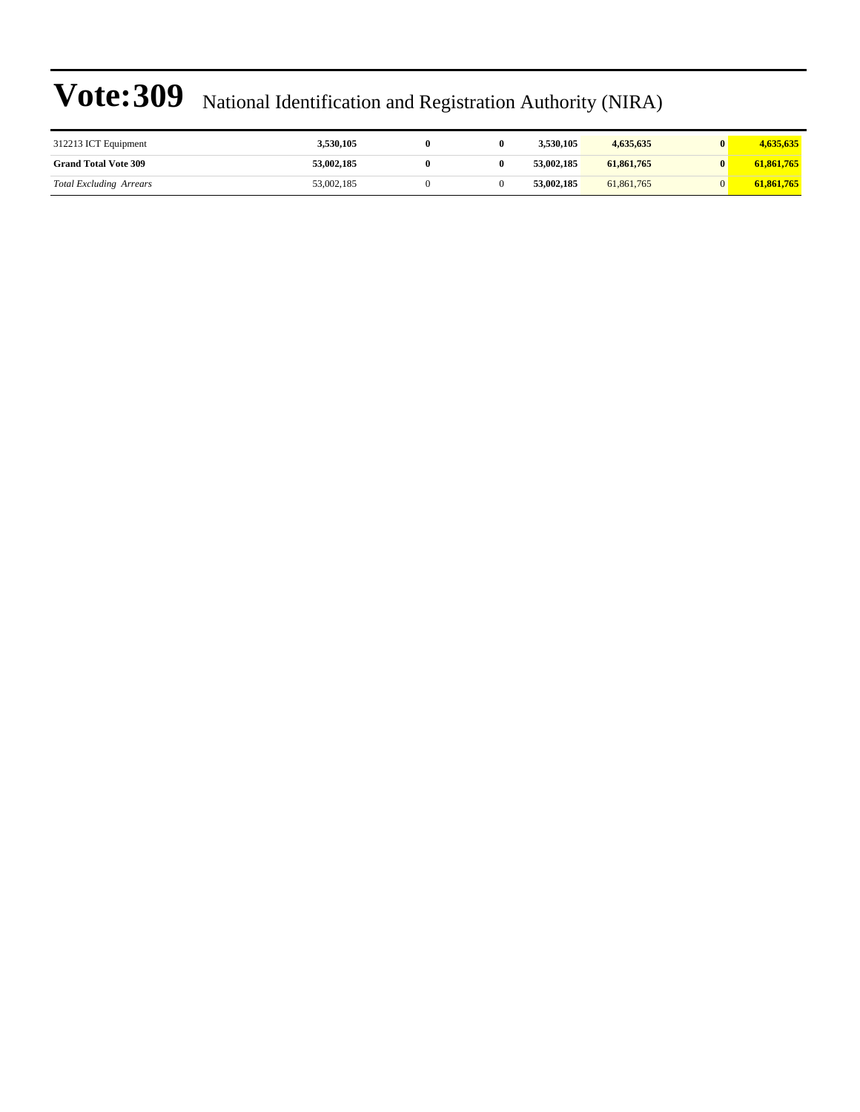| 312213 ICT Equipment           | 3,530,105  |  | 3.530.105  | 4,635,635  | 4,635,635  |
|--------------------------------|------------|--|------------|------------|------------|
| <b>Grand Total Vote 309</b>    | 53.002.185 |  | 53,002,185 | 61,861,765 | 61,861,765 |
| <b>Total Excluding Arrears</b> | 53,002,185 |  | 53,002,185 | 61.861.765 | 61,861,765 |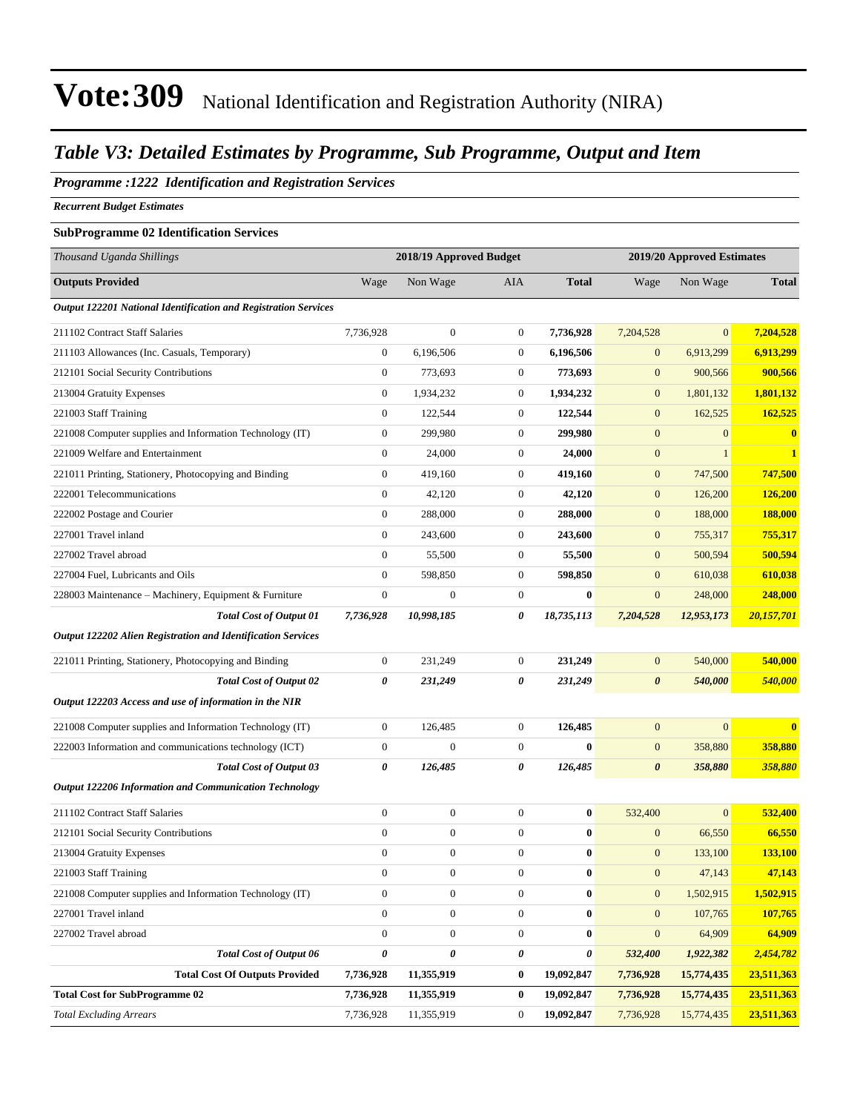#### *Table V3: Detailed Estimates by Programme, Sub Programme, Output and Item*

#### *Programme :1222 Identification and Registration Services*

*Recurrent Budget Estimates*

#### **SubProgramme 02 Identification Services**

| Thousand Uganda Shillings                                       |                  | 2018/19 Approved Budget |                  | 2019/20 Approved Estimates |                       |                |                |  |
|-----------------------------------------------------------------|------------------|-------------------------|------------------|----------------------------|-----------------------|----------------|----------------|--|
| <b>Outputs Provided</b>                                         | Wage             | Non Wage                | AIA              | <b>Total</b>               | Wage                  | Non Wage       | <b>Total</b>   |  |
| Output 122201 National Identification and Registration Services |                  |                         |                  |                            |                       |                |                |  |
| 211102 Contract Staff Salaries                                  | 7,736,928        | $\boldsymbol{0}$        | $\boldsymbol{0}$ | 7,736,928                  | 7,204,528             | $\overline{0}$ | 7,204,528      |  |
| 211103 Allowances (Inc. Casuals, Temporary)                     | $\boldsymbol{0}$ | 6,196,506               | $\boldsymbol{0}$ | 6,196,506                  | $\mathbf{0}$          | 6,913,299      | 6,913,299      |  |
| 212101 Social Security Contributions                            | $\mathbf{0}$     | 773,693                 | $\boldsymbol{0}$ | 773,693                    | $\mathbf{0}$          | 900,566        | 900,566        |  |
| 213004 Gratuity Expenses                                        | $\boldsymbol{0}$ | 1,934,232               | 0                | 1,934,232                  | $\mathbf{0}$          | 1,801,132      | 1,801,132      |  |
| 221003 Staff Training                                           | $\boldsymbol{0}$ | 122,544                 | $\boldsymbol{0}$ | 122,544                    | $\mathbf{0}$          | 162,525        | 162,525        |  |
| 221008 Computer supplies and Information Technology (IT)        | $\boldsymbol{0}$ | 299,980                 | $\boldsymbol{0}$ | 299,980                    | $\boldsymbol{0}$      | $\overline{0}$ | $\bf{0}$       |  |
| 221009 Welfare and Entertainment                                | $\mathbf{0}$     | 24,000                  | $\boldsymbol{0}$ | 24,000                     | $\boldsymbol{0}$      | $\mathbf{1}$   | $\mathbf{1}$   |  |
| 221011 Printing, Stationery, Photocopying and Binding           | $\boldsymbol{0}$ | 419,160                 | $\boldsymbol{0}$ | 419,160                    | $\mathbf{0}$          | 747,500        | 747,500        |  |
| 222001 Telecommunications                                       | $\mathbf{0}$     | 42,120                  | $\boldsymbol{0}$ | 42,120                     | $\boldsymbol{0}$      | 126,200        | <b>126,200</b> |  |
| 222002 Postage and Courier                                      | $\boldsymbol{0}$ | 288,000                 | $\boldsymbol{0}$ | 288,000                    | $\boldsymbol{0}$      | 188,000        | 188,000        |  |
| 227001 Travel inland                                            | $\boldsymbol{0}$ | 243,600                 | $\boldsymbol{0}$ | 243,600                    | $\boldsymbol{0}$      | 755,317        | 755,317        |  |
| 227002 Travel abroad                                            | $\mathbf{0}$     | 55,500                  | $\boldsymbol{0}$ | 55,500                     | $\mathbf{0}$          | 500,594        | 500,594        |  |
| 227004 Fuel, Lubricants and Oils                                | $\boldsymbol{0}$ | 598,850                 | $\boldsymbol{0}$ | 598,850                    | $\mathbf{0}$          | 610,038        | 610,038        |  |
| 228003 Maintenance - Machinery, Equipment & Furniture           | $\boldsymbol{0}$ | $\boldsymbol{0}$        | $\boldsymbol{0}$ | $\bf{0}$                   | $\boldsymbol{0}$      | 248,000        | 248,000        |  |
| <b>Total Cost of Output 01</b>                                  | 7,736,928        | 10,998,185              | 0                | 18,735,113                 | 7,204,528             | 12,953,173     | 20,157,701     |  |
| Output 122202 Alien Registration and Identification Services    |                  |                         |                  |                            |                       |                |                |  |
| 221011 Printing, Stationery, Photocopying and Binding           | $\boldsymbol{0}$ | 231,249                 | $\boldsymbol{0}$ | 231,249                    | $\mathbf{0}$          | 540,000        | 540,000        |  |
| <b>Total Cost of Output 02</b>                                  | 0                | 231,249                 | 0                | 231,249                    | $\boldsymbol{\theta}$ | 540,000        | 540,000        |  |
| Output 122203 Access and use of information in the NIR          |                  |                         |                  |                            |                       |                |                |  |
| 221008 Computer supplies and Information Technology (IT)        | $\mathbf{0}$     | 126,485                 | $\boldsymbol{0}$ | 126,485                    | $\mathbf{0}$          | $\overline{0}$ | $\bf{0}$       |  |
| 222003 Information and communications technology (ICT)          | $\boldsymbol{0}$ | $\boldsymbol{0}$        | $\boldsymbol{0}$ | $\bf{0}$                   | $\boldsymbol{0}$      | 358,880        | 358,880        |  |
| <b>Total Cost of Output 03</b>                                  | 0                | 126,485                 | 0                | 126,485                    | $\boldsymbol{\theta}$ | 358,880        | <b>358,880</b> |  |
| Output 122206 Information and Communication Technology          |                  |                         |                  |                            |                       |                |                |  |
| 211102 Contract Staff Salaries                                  | $\boldsymbol{0}$ | $\boldsymbol{0}$        | $\boldsymbol{0}$ | $\bf{0}$                   | 532,400               | $\overline{0}$ | 532,400        |  |
| 212101 Social Security Contributions                            | $\boldsymbol{0}$ | $\boldsymbol{0}$        | $\boldsymbol{0}$ | $\bf{0}$                   | $\mathbf{0}$          | 66,550         | 66,550         |  |
| 213004 Gratuity Expenses                                        | $\boldsymbol{0}$ | $\boldsymbol{0}$        | $\boldsymbol{0}$ | $\bf{0}$                   | $\mathbf{0}$          | 133,100        | <b>133,100</b> |  |
| 221003 Staff Training                                           | $\overline{0}$   | $\boldsymbol{0}$        | $\boldsymbol{0}$ | $\bf{0}$                   | $\mathbf{0}$          | 47,143         | 47,143         |  |
| 221008 Computer supplies and Information Technology (IT)        | $\boldsymbol{0}$ | $\boldsymbol{0}$        | $\boldsymbol{0}$ | $\bf{0}$                   | $\mathbf{0}$          | 1,502,915      | 1,502,915      |  |
| 227001 Travel inland                                            | $\boldsymbol{0}$ | $\boldsymbol{0}$        | $\boldsymbol{0}$ | $\bf{0}$                   | $\mathbf{0}$          | 107,765        | 107,765        |  |
| 227002 Travel abroad                                            | $\boldsymbol{0}$ | $\boldsymbol{0}$        | $\boldsymbol{0}$ | $\bf{0}$                   | $\mathbf{0}$          | 64,909         | 64,909         |  |
| <b>Total Cost of Output 06</b>                                  | 0                | 0                       | 0                | 0                          | 532,400               | 1,922,382      | 2,454,782      |  |
| <b>Total Cost Of Outputs Provided</b>                           | 7,736,928        | 11,355,919              | $\boldsymbol{0}$ | 19,092,847                 | 7,736,928             | 15,774,435     | 23,511,363     |  |
| <b>Total Cost for SubProgramme 02</b>                           | 7,736,928        | 11,355,919              | 0                | 19,092,847                 | 7,736,928             | 15,774,435     | 23,511,363     |  |
| <b>Total Excluding Arrears</b>                                  | 7,736,928        | 11,355,919              | $\boldsymbol{0}$ | 19,092,847                 | 7,736,928             | 15,774,435     | 23,511,363     |  |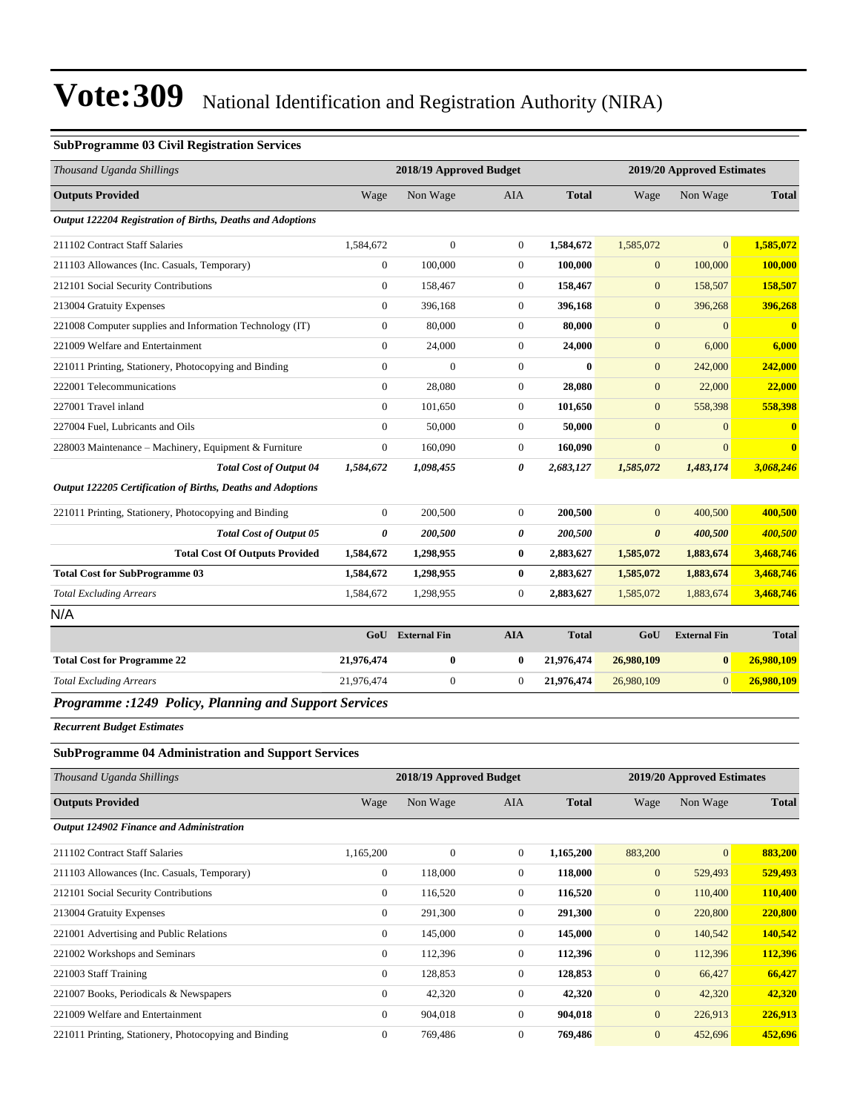#### **SubProgramme 03 Civil Registration Services**

| Thousand Uganda Shillings                                   |                  | 2018/19 Approved Budget |                  |              |                            | 2019/20 Approved Estimates |                |
|-------------------------------------------------------------|------------------|-------------------------|------------------|--------------|----------------------------|----------------------------|----------------|
| <b>Outputs Provided</b>                                     | Wage             | Non Wage                | AIA              | <b>Total</b> | Wage                       | Non Wage                   | <b>Total</b>   |
| Output 122204 Registration of Births, Deaths and Adoptions  |                  |                         |                  |              |                            |                            |                |
| 211102 Contract Staff Salaries                              | 1,584,672        | $\overline{0}$          | $\boldsymbol{0}$ | 1,584,672    | 1,585,072                  | $\overline{0}$             | 1,585,072      |
| 211103 Allowances (Inc. Casuals, Temporary)                 | $\boldsymbol{0}$ | 100,000                 | $\boldsymbol{0}$ | 100,000      | $\mathbf{0}$               | 100,000                    | 100,000        |
| 212101 Social Security Contributions                        | $\boldsymbol{0}$ | 158,467                 | $\boldsymbol{0}$ | 158,467      | $\boldsymbol{0}$           | 158,507                    | 158,507        |
| 213004 Gratuity Expenses                                    | $\mathbf{0}$     | 396,168                 | $\boldsymbol{0}$ | 396,168      | $\mathbf{0}$               | 396,268                    | 396,268        |
| 221008 Computer supplies and Information Technology (IT)    | $\boldsymbol{0}$ | 80,000                  | $\boldsymbol{0}$ | 80,000       | $\mathbf{0}$               | $\overline{0}$             | $\mathbf{0}$   |
| 221009 Welfare and Entertainment                            | $\boldsymbol{0}$ | 24,000                  | $\boldsymbol{0}$ | 24,000       | $\mathbf{0}$               | 6,000                      | 6,000          |
| 221011 Printing, Stationery, Photocopying and Binding       | $\boldsymbol{0}$ | $\boldsymbol{0}$        | $\boldsymbol{0}$ | $\bf{0}$     | $\mathbf{0}$               | 242,000                    | 242,000        |
| 222001 Telecommunications                                   | $\boldsymbol{0}$ | 28,080                  | $\boldsymbol{0}$ | 28,080       | $\mathbf{0}$               | 22,000                     | 22,000         |
| 227001 Travel inland                                        | $\mathbf{0}$     | 101,650                 | $\boldsymbol{0}$ | 101,650      | $\mathbf{0}$               | 558,398                    | 558,398        |
| 227004 Fuel, Lubricants and Oils                            | $\mathbf{0}$     | 50,000                  | $\boldsymbol{0}$ | 50,000       | $\mathbf{0}$               | $\mathbf{0}$               | $\bf{0}$       |
| 228003 Maintenance - Machinery, Equipment & Furniture       | $\boldsymbol{0}$ | 160,090                 | $\boldsymbol{0}$ | 160,090      | $\mathbf{0}$               | $\overline{0}$             | $\bf{0}$       |
| <b>Total Cost of Output 04</b>                              | 1,584,672        | 1,098,455               | 0                | 2,683,127    | 1,585,072                  | 1,483,174                  | 3,068,246      |
| Output 122205 Certification of Births, Deaths and Adoptions |                  |                         |                  |              |                            |                            |                |
| 221011 Printing, Stationery, Photocopying and Binding       | $\boldsymbol{0}$ | 200,500                 | $\boldsymbol{0}$ | 200,500      | $\overline{0}$             | 400,500                    | 400,500        |
| <b>Total Cost of Output 05</b>                              | $\pmb{\theta}$   | 200,500                 | 0                | 200,500      | $\boldsymbol{\theta}$      | 400,500                    | 400,500        |
| <b>Total Cost Of Outputs Provided</b>                       | 1,584,672        | 1,298,955               | 0                | 2,883,627    | 1,585,072                  | 1,883,674                  | 3,468,746      |
| <b>Total Cost for SubProgramme 03</b>                       | 1,584,672        | 1,298,955               | 0                | 2,883,627    | 1,585,072                  | 1,883,674                  | 3,468,746      |
| <b>Total Excluding Arrears</b>                              | 1,584,672        | 1,298,955               | $\boldsymbol{0}$ | 2,883,627    | 1,585,072                  | 1,883,674                  | 3,468,746      |
| N/A                                                         |                  |                         |                  |              |                            |                            |                |
|                                                             | GoU              | <b>External Fin</b>     | <b>AIA</b>       | <b>Total</b> | GoU                        | <b>External Fin</b>        | <b>Total</b>   |
| <b>Total Cost for Programme 22</b>                          | 21,976,474       | $\boldsymbol{0}$        | 0                | 21,976,474   | 26,980,109                 | $\bf{0}$                   | 26,980,109     |
| <b>Total Excluding Arrears</b>                              | 21,976,474       | $\boldsymbol{0}$        | $\boldsymbol{0}$ | 21,976,474   | 26,980,109                 | $\overline{0}$             | 26,980,109     |
| Programme : 1249 Policy, Planning and Support Services      |                  |                         |                  |              |                            |                            |                |
| <b>Recurrent Budget Estimates</b>                           |                  |                         |                  |              |                            |                            |                |
| <b>SubProgramme 04 Administration and Support Services</b>  |                  |                         |                  |              |                            |                            |                |
| Thousand Uganda Shillings                                   |                  | 2018/19 Approved Budget |                  |              | 2019/20 Approved Estimates |                            |                |
| <b>Outputs Provided</b>                                     | Wage             | Non Wage                | AIA              | <b>Total</b> | Wage                       | Non Wage                   | <b>Total</b>   |
| Output 124902 Finance and Administration                    |                  |                         |                  |              |                            |                            |                |
| 211102 Contract Staff Salaries                              | 1,165,200        | $\boldsymbol{0}$        | $\boldsymbol{0}$ | 1,165,200    | 883,200                    | $\overline{0}$             | 883,200        |
| 211103 Allowances (Inc. Casuals, Temporary)                 | $\boldsymbol{0}$ | 118,000                 | 0                | 118,000      | $\mathbf{0}$               | 529,493                    | 529,493        |
| 212101 Social Security Contributions                        | $\boldsymbol{0}$ | 116,520                 | 0                | 116,520      | $\mathbf{0}$               | 110,400                    | 110,400        |
| 213004 Gratuity Expenses                                    | $\boldsymbol{0}$ | 291,300                 | $\boldsymbol{0}$ | 291,300      | $\boldsymbol{0}$           | 220,800                    | 220,800        |
| 221001 Advertising and Public Relations                     | $\boldsymbol{0}$ | 145,000                 | $\boldsymbol{0}$ | 145,000      | $\boldsymbol{0}$           | 140,542                    | 140,542        |
| 221002 Workshops and Seminars                               | $\boldsymbol{0}$ | 112,396                 | $\boldsymbol{0}$ | 112,396      | $\boldsymbol{0}$           | 112,396                    | 112,396        |
| 221003 Staff Training                                       | $\boldsymbol{0}$ | 128,853                 | 0                | 128,853      | $\mathbf{0}$               | 66,427                     | 66,427         |
| 221007 Books, Periodicals & Newspapers                      | $\boldsymbol{0}$ | 42,320                  | 0                | 42,320       | $\mathbf{0}$               | 42,320                     | 42,320         |
| 221009 Welfare and Entertainment                            | $\boldsymbol{0}$ | 904,018                 | $\boldsymbol{0}$ | 904,018      | $\boldsymbol{0}$           | 226,913                    | <u>226,913</u> |
| 221011 Printing, Stationery, Photocopying and Binding       | $\boldsymbol{0}$ | 769,486                 | $\boldsymbol{0}$ | 769,486      | $\mathbf{0}$               | 452,696                    | 452,696        |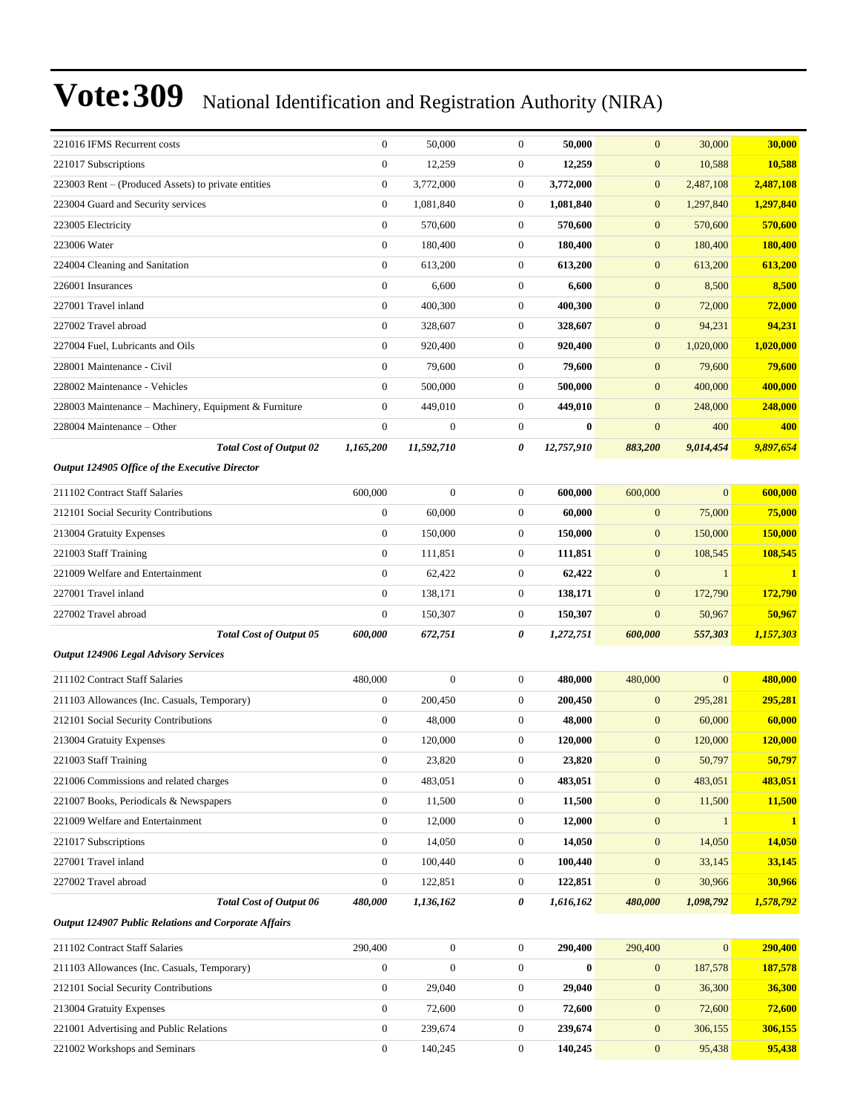| 221016 IFMS Recurrent costs                                 | $\boldsymbol{0}$ | 50,000           | $\mathbf{0}$     | 50,000     | $\mathbf{0}$     | 30,000       | 30,000         |
|-------------------------------------------------------------|------------------|------------------|------------------|------------|------------------|--------------|----------------|
| 221017 Subscriptions                                        | $\boldsymbol{0}$ | 12,259           | $\boldsymbol{0}$ | 12,259     | $\boldsymbol{0}$ | 10,588       | 10,588         |
| 223003 Rent – (Produced Assets) to private entities         | $\boldsymbol{0}$ | 3,772,000        | $\overline{0}$   | 3,772,000  | $\boldsymbol{0}$ | 2,487,108    | 2,487,108      |
| 223004 Guard and Security services                          | $\boldsymbol{0}$ | 1,081,840        | $\mathbf{0}$     | 1,081,840  | $\mathbf{0}$     | 1,297,840    | 1,297,840      |
| 223005 Electricity                                          | $\mathbf{0}$     | 570,600          | $\mathbf{0}$     | 570,600    | $\boldsymbol{0}$ | 570,600      | 570,600        |
| 223006 Water                                                | $\boldsymbol{0}$ | 180,400          | $\boldsymbol{0}$ | 180,400    | $\mathbf{0}$     | 180,400      | 180,400        |
| 224004 Cleaning and Sanitation                              | $\boldsymbol{0}$ | 613,200          | $\boldsymbol{0}$ | 613,200    | $\boldsymbol{0}$ | 613,200      | 613,200        |
| 226001 Insurances                                           | $\boldsymbol{0}$ | 6,600            | $\boldsymbol{0}$ | 6,600      | $\mathbf{0}$     | 8,500        | 8,500          |
| 227001 Travel inland                                        | $\boldsymbol{0}$ | 400,300          | $\boldsymbol{0}$ | 400,300    | $\boldsymbol{0}$ | 72,000       | <b>72,000</b>  |
| 227002 Travel abroad                                        | $\mathbf{0}$     | 328,607          | $\boldsymbol{0}$ | 328,607    | $\boldsymbol{0}$ | 94,231       | 94,231         |
| 227004 Fuel, Lubricants and Oils                            | $\overline{0}$   | 920,400          | $\mathbf{0}$     | 920,400    | $\boldsymbol{0}$ | 1,020,000    | 1,020,000      |
| 228001 Maintenance - Civil                                  | $\boldsymbol{0}$ | 79,600           | $\boldsymbol{0}$ | 79,600     | $\boldsymbol{0}$ | 79,600       | 79,600         |
| 228002 Maintenance - Vehicles                               | $\boldsymbol{0}$ | 500,000          | $\boldsymbol{0}$ | 500,000    | $\boldsymbol{0}$ | 400,000      | 400,000        |
| 228003 Maintenance – Machinery, Equipment & Furniture       | $\boldsymbol{0}$ | 449,010          | $\boldsymbol{0}$ | 449,010    | $\boldsymbol{0}$ | 248,000      | 248,000        |
| 228004 Maintenance - Other                                  | $\mathbf{0}$     | $\mathbf{0}$     | $\boldsymbol{0}$ | $\bf{0}$   | $\mathbf{0}$     | 400          | 400            |
| <b>Total Cost of Output 02</b>                              | 1,165,200        | 11,592,710       | 0                | 12,757,910 | 883,200          | 9,014,454    | 9,897,654      |
| Output 124905 Office of the Executive Director              |                  |                  |                  |            |                  |              |                |
| 211102 Contract Staff Salaries                              | 600,000          | $\mathbf{0}$     | $\mathbf{0}$     | 600,000    | 600,000          | $\mathbf{0}$ | 600,000        |
| 212101 Social Security Contributions                        | $\boldsymbol{0}$ | 60,000           | $\boldsymbol{0}$ | 60,000     | $\mathbf{0}$     | 75,000       | 75,000         |
| 213004 Gratuity Expenses                                    | $\boldsymbol{0}$ | 150,000          | $\boldsymbol{0}$ | 150,000    | $\boldsymbol{0}$ | 150,000      | <b>150,000</b> |
| 221003 Staff Training                                       | $\boldsymbol{0}$ | 111,851          | $\boldsymbol{0}$ | 111,851    | $\boldsymbol{0}$ | 108,545      | 108,545        |
| 221009 Welfare and Entertainment                            | $\boldsymbol{0}$ | 62,422           | $\boldsymbol{0}$ | 62,422     | $\boldsymbol{0}$ | $\mathbf{1}$ | $\mathbf{1}$   |
| 227001 Travel inland                                        | $\boldsymbol{0}$ | 138,171          | $\boldsymbol{0}$ | 138,171    | $\boldsymbol{0}$ | 172,790      | 172,790        |
| 227002 Travel abroad                                        | $\boldsymbol{0}$ | 150,307          | $\boldsymbol{0}$ | 150,307    | $\mathbf{0}$     | 50,967       | 50,967         |
| <b>Total Cost of Output 05</b>                              | 600,000          | 672,751          | 0                | 1,272,751  | 600,000          | 557,303      | 1,157,303      |
| <b>Output 124906 Legal Advisory Services</b>                |                  |                  |                  |            |                  |              |                |
| 211102 Contract Staff Salaries                              | 480,000          | $\mathbf{0}$     | $\boldsymbol{0}$ | 480,000    | 480,000          | $\mathbf{0}$ | 480,000        |
| 211103 Allowances (Inc. Casuals, Temporary)                 | $\boldsymbol{0}$ | 200,450          | $\mathbf{0}$     | 200,450    | $\boldsymbol{0}$ | 295,281      | 295,281        |
| 212101 Social Security Contributions                        | $\boldsymbol{0}$ | 48,000           | $\boldsymbol{0}$ | 48,000     | $\mathbf{0}$     | 60,000       | 60,000         |
| 213004 Gratuity Expenses                                    | $\boldsymbol{0}$ | 120,000          | $\boldsymbol{0}$ | 120,000    | $\mathbf{0}$     | 120,000      | 120,000        |
| 221003 Staff Training                                       | $\boldsymbol{0}$ | 23,820           | $\boldsymbol{0}$ | 23,820     | $\boldsymbol{0}$ | 50,797       | 50,797         |
| 221006 Commissions and related charges                      | $\boldsymbol{0}$ | 483,051          | $\mathbf{0}$     | 483,051    | $\mathbf{0}$     | 483,051      | 483,051        |
| 221007 Books, Periodicals & Newspapers                      | $\boldsymbol{0}$ | 11,500           | $\boldsymbol{0}$ | 11,500     | $\boldsymbol{0}$ | 11,500       | 11,500         |
| 221009 Welfare and Entertainment                            | $\boldsymbol{0}$ | 12,000           | $\boldsymbol{0}$ | 12,000     | $\boldsymbol{0}$ | 1            | $\mathbf{1}$   |
| 221017 Subscriptions                                        | $\boldsymbol{0}$ | 14,050           | $\boldsymbol{0}$ | 14,050     | $\boldsymbol{0}$ | 14,050       | 14,050         |
| 227001 Travel inland                                        | $\boldsymbol{0}$ | 100,440          | $\boldsymbol{0}$ | 100,440    | $\boldsymbol{0}$ | 33,145       | 33,145         |
| 227002 Travel abroad                                        | $\boldsymbol{0}$ | 122,851          | $\boldsymbol{0}$ | 122,851    | $\boldsymbol{0}$ | 30,966       | 30,966         |
| <b>Total Cost of Output 06</b>                              | 480,000          | 1,136,162        | 0                | 1,616,162  | 480,000          | 1,098,792    | 1,578,792      |
| <b>Output 124907 Public Relations and Corporate Affairs</b> |                  |                  |                  |            |                  |              |                |
| 211102 Contract Staff Salaries                              | 290,400          | $\boldsymbol{0}$ | $\overline{0}$   | 290,400    | 290,400          | $\mathbf{0}$ | 290,400        |
| 211103 Allowances (Inc. Casuals, Temporary)                 | $\boldsymbol{0}$ | $\mathbf{0}$     | $\boldsymbol{0}$ | $\bf{0}$   | $\boldsymbol{0}$ | 187,578      | 187,578        |
| 212101 Social Security Contributions                        | $\boldsymbol{0}$ | 29,040           | $\boldsymbol{0}$ | 29,040     | $\boldsymbol{0}$ | 36,300       | 36,300         |
| 213004 Gratuity Expenses                                    | $\boldsymbol{0}$ | 72,600           | $\boldsymbol{0}$ | 72,600     | $\boldsymbol{0}$ | 72,600       | 72,600         |
| 221001 Advertising and Public Relations                     | $\boldsymbol{0}$ | 239,674          | $\mathbf{0}$     | 239,674    | $\mathbf{0}$     | 306,155      | 306,155        |

221002 Workshops and Seminars 0 140,245 0 **140,245** 0 95,438 **95,438**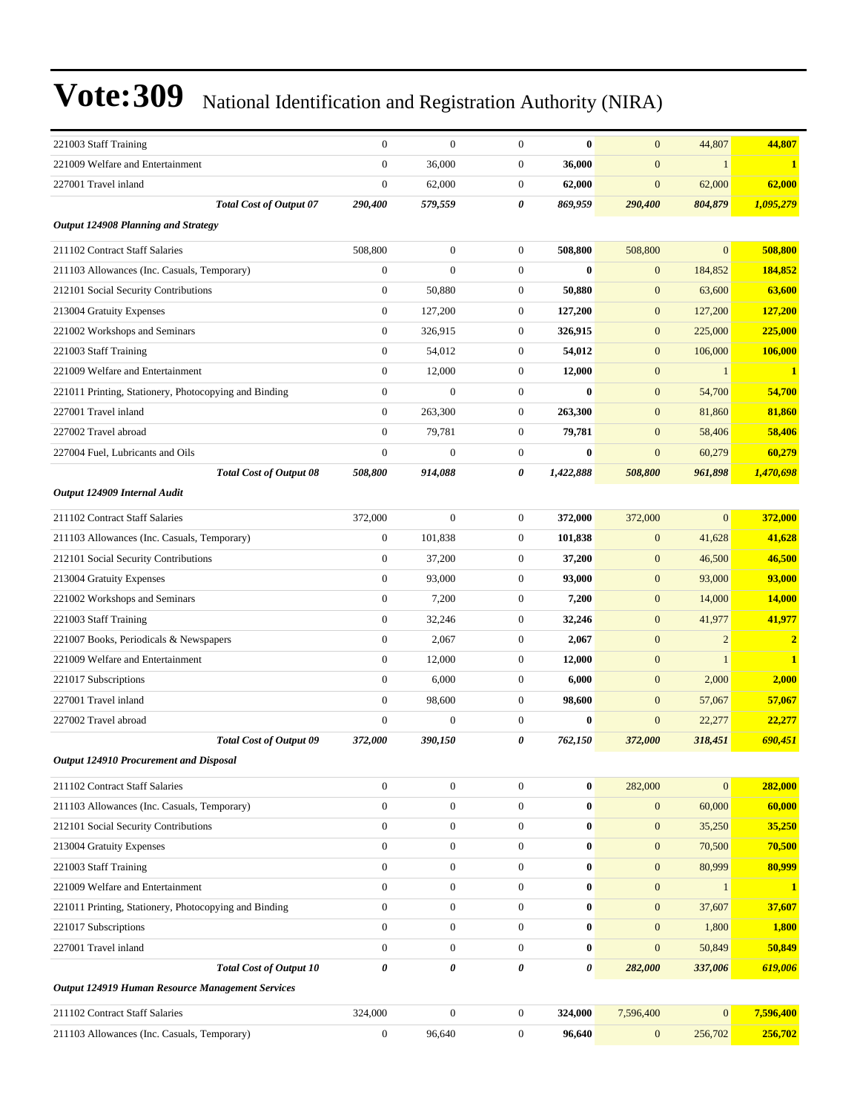| 221003 Staff Training                                 | $\mathbf{0}$     | $\mathbf{0}$     | $\boldsymbol{0}$ | $\bf{0}$              | $\overline{0}$   | 44,807         | 44,807         |
|-------------------------------------------------------|------------------|------------------|------------------|-----------------------|------------------|----------------|----------------|
| 221009 Welfare and Entertainment                      | $\mathbf{0}$     | 36,000           | $\boldsymbol{0}$ | 36,000                | $\overline{0}$   | 1              | $\mathbf{1}$   |
| 227001 Travel inland                                  | $\overline{0}$   | 62,000           | $\mathbf{0}$     | 62,000                | $\mathbf{0}$     | 62,000         | 62,000         |
| <b>Total Cost of Output 07</b>                        | 290,400          | 579,559          | 0                | 869.959               | 290,400          | 804,879        | 1,095,279      |
| Output 124908 Planning and Strategy                   |                  |                  |                  |                       |                  |                |                |
| 211102 Contract Staff Salaries                        | 508,800          | $\mathbf{0}$     | $\mathbf{0}$     | 508,800               | 508,800          | $\mathbf{0}$   | 508,800        |
| 211103 Allowances (Inc. Casuals, Temporary)           | $\mathbf{0}$     | $\mathbf{0}$     | $\boldsymbol{0}$ | $\bf{0}$              | $\mathbf{0}$     | 184,852        | 184,852        |
| 212101 Social Security Contributions                  | $\overline{0}$   | 50,880           | $\boldsymbol{0}$ | 50,880                | $\mathbf{0}$     | 63,600         | 63,600         |
| 213004 Gratuity Expenses                              | $\overline{0}$   | 127,200          | $\boldsymbol{0}$ | 127,200               | $\boldsymbol{0}$ | 127,200        | 127,200        |
| 221002 Workshops and Seminars                         | $\boldsymbol{0}$ | 326,915          | $\boldsymbol{0}$ | 326,915               | $\mathbf{0}$     | 225,000        | 225,000        |
| 221003 Staff Training                                 | $\boldsymbol{0}$ | 54,012           | $\boldsymbol{0}$ | 54,012                | $\mathbf{0}$     | 106,000        | <b>106,000</b> |
| 221009 Welfare and Entertainment                      | $\overline{0}$   | 12,000           | $\boldsymbol{0}$ | 12,000                | $\mathbf{0}$     | $\mathbf{1}$   | 1              |
| 221011 Printing, Stationery, Photocopying and Binding | $\overline{0}$   | $\mathbf{0}$     | $\boldsymbol{0}$ | $\bf{0}$              | $\mathbf{0}$     | 54,700         | 54,700         |
| 227001 Travel inland                                  | $\overline{0}$   | 263,300          | $\boldsymbol{0}$ | 263,300               | $\mathbf{0}$     | 81,860         | 81,860         |
| 227002 Travel abroad                                  | $\boldsymbol{0}$ | 79,781           | $\boldsymbol{0}$ | 79,781                | $\mathbf{0}$     | 58,406         | 58,406         |
| 227004 Fuel, Lubricants and Oils                      | $\overline{0}$   | $\mathbf{0}$     | $\mathbf{0}$     | $\bf{0}$              | $\mathbf{0}$     | 60,279         | 60,279         |
| <b>Total Cost of Output 08</b>                        | 508,800          | 914,088          | 0                | 1,422,888             | 508,800          | 961,898        | 1,470,698      |
| Output 124909 Internal Audit                          |                  |                  |                  |                       |                  |                |                |
| 211102 Contract Staff Salaries                        | 372,000          | $\mathbf{0}$     | $\mathbf{0}$     | 372,000               | 372,000          | $\Omega$       | 372,000        |
| 211103 Allowances (Inc. Casuals, Temporary)           | $\overline{0}$   | 101,838          | $\mathbf{0}$     | 101,838               | $\mathbf{0}$     | 41,628         | 41,628         |
| 212101 Social Security Contributions                  | $\boldsymbol{0}$ | 37,200           | $\mathbf{0}$     | 37,200                | $\mathbf{0}$     | 46,500         | 46,500         |
| 213004 Gratuity Expenses                              | $\boldsymbol{0}$ | 93,000           | $\boldsymbol{0}$ | 93,000                | $\mathbf{0}$     | 93,000         | 93,000         |
| 221002 Workshops and Seminars                         | $\overline{0}$   | 7,200            | $\boldsymbol{0}$ | 7,200                 | $\mathbf{0}$     | 14,000         | 14,000         |
| 221003 Staff Training                                 | $\boldsymbol{0}$ | 32,246           | $\boldsymbol{0}$ | 32,246                | $\mathbf{0}$     | 41,977         | 41,977         |
| 221007 Books, Periodicals & Newspapers                | $\overline{0}$   | 2,067            | $\mathbf{0}$     | 2,067                 | $\overline{0}$   | $\overline{2}$ | $\overline{2}$ |
| 221009 Welfare and Entertainment                      | $\overline{0}$   | 12,000           | $\mathbf{0}$     | 12,000                | $\mathbf{0}$     | $\mathbf{1}$   | $\mathbf{1}$   |
| 221017 Subscriptions                                  | $\boldsymbol{0}$ | 6,000            | $\boldsymbol{0}$ | 6,000                 | $\mathbf{0}$     | 2,000          | 2,000          |
| 227001 Travel inland                                  | $\overline{0}$   | 98,600           | $\boldsymbol{0}$ | 98,600                | $\mathbf{0}$     | 57,067         | 57,067         |
| 227002 Travel abroad                                  | $\mathbf{0}$     | $\mathbf{0}$     | $\boldsymbol{0}$ | $\bf{0}$              | $\overline{0}$   | 22,277         | 22,277         |
| <b>Total Cost of Output 09</b>                        | 372,000          | 390,150          | 0                | 762,150               | 372,000          | 318,451        | 690,451        |
| Output 124910 Procurement and Disposal                |                  |                  |                  |                       |                  |                |                |
| 211102 Contract Staff Salaries                        | $\boldsymbol{0}$ | $\boldsymbol{0}$ | $\mathbf{0}$     | $\bf{0}$              | 282,000          | $\Omega$       | 282,000        |
| 211103 Allowances (Inc. Casuals, Temporary)           | $\boldsymbol{0}$ | $\boldsymbol{0}$ | $\boldsymbol{0}$ | $\bf{0}$              | $\mathbf{0}$     | 60,000         | 60,000         |
| 212101 Social Security Contributions                  | $\overline{0}$   | $\boldsymbol{0}$ | $\mathbf{0}$     | $\bf{0}$              | $\mathbf{0}$     | 35,250         | 35,250         |
| 213004 Gratuity Expenses                              | $\boldsymbol{0}$ | $\mathbf{0}$     | $\mathbf{0}$     | $\bf{0}$              | $\mathbf{0}$     | 70,500         | 70,500         |
| 221003 Staff Training                                 | $\boldsymbol{0}$ | $\boldsymbol{0}$ | $\mathbf{0}$     | $\bf{0}$              | $\mathbf{0}$     | 80,999         | 80,999         |
| 221009 Welfare and Entertainment                      | $\boldsymbol{0}$ | $\mathbf{0}$     | $\mathbf{0}$     | $\bf{0}$              | $\mathbf{0}$     | $\mathbf{1}$   | 1              |
| 221011 Printing, Stationery, Photocopying and Binding | $\boldsymbol{0}$ | $\boldsymbol{0}$ | $\boldsymbol{0}$ | $\bf{0}$              | $\mathbf{0}$     | 37,607         | 37,607         |
| 221017 Subscriptions                                  | $\boldsymbol{0}$ | $\boldsymbol{0}$ | $\mathbf{0}$     | $\bf{0}$              | $\mathbf{0}$     | 1,800          | 1,800          |
| 227001 Travel inland                                  | $\boldsymbol{0}$ | $\mathbf{0}$     | $\mathbf{0}$     | $\bf{0}$              | $\overline{0}$   | 50,849         | 50,849         |
| <b>Total Cost of Output 10</b>                        | 0                | 0                | 0                | $\boldsymbol{\theta}$ | 282,000          | 337,006        | 619,006        |
| Output 124919 Human Resource Management Services      |                  |                  |                  |                       |                  |                |                |
| 211102 Contract Staff Salaries                        | 324,000          | $\mathbf{0}$     | $\boldsymbol{0}$ | 324,000               | 7,596,400        | $\mathbf{0}$   | 7,596,400      |
| 211103 Allowances (Inc. Casuals, Temporary)           | $\boldsymbol{0}$ | 96,640           | $\mathbf{0}$     | 96,640                | $\mathbf{0}$     | 256,702        | 256,702        |
|                                                       |                  |                  |                  |                       |                  |                |                |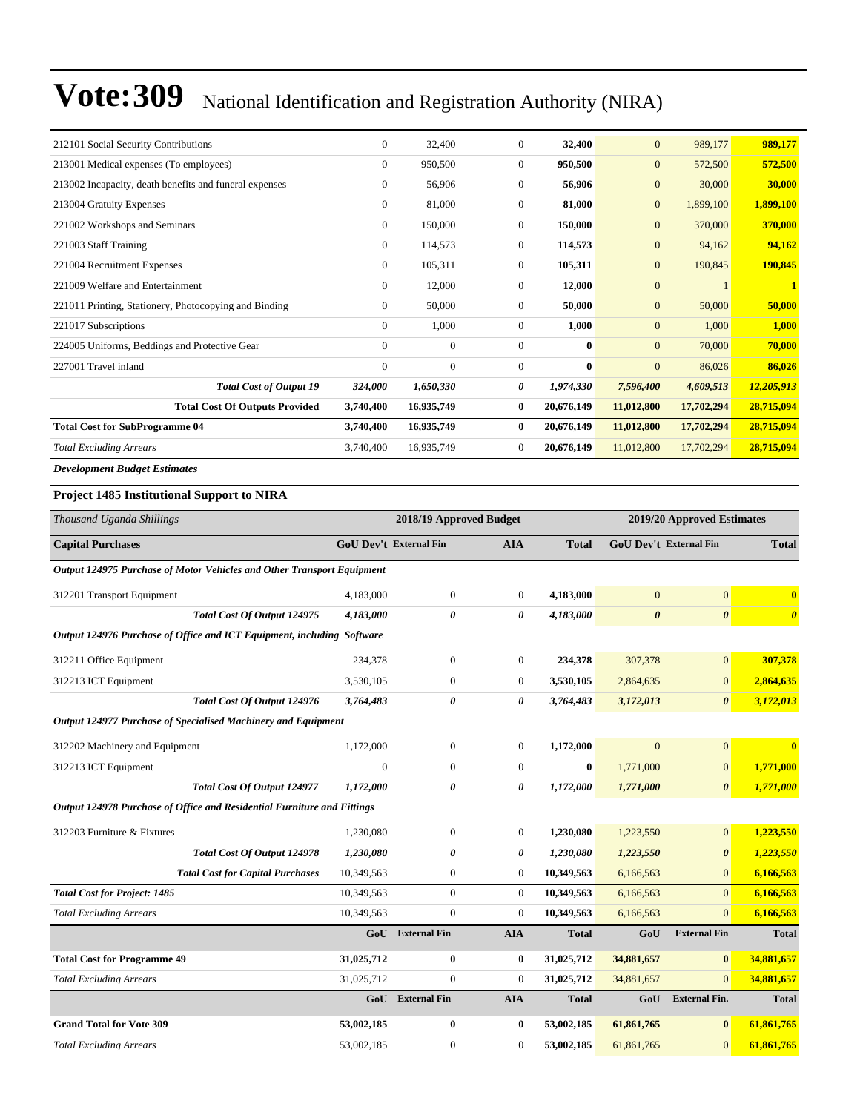| 212101 Social Security Contributions                   | $\Omega$     | 32,400     | $\mathbf{0}$     | 32,400     | $\overline{0}$ | 989,177    | 989,177      |
|--------------------------------------------------------|--------------|------------|------------------|------------|----------------|------------|--------------|
| 213001 Medical expenses (To employees)                 | $\Omega$     | 950,500    | $\mathbf{0}$     | 950,500    | $\overline{0}$ | 572,500    | 572,500      |
| 213002 Incapacity, death benefits and funeral expenses | $\Omega$     | 56,906     | $\boldsymbol{0}$ | 56,906     | $\overline{0}$ | 30,000     | 30,000       |
| 213004 Gratuity Expenses                               | $\mathbf{0}$ | 81,000     | $\mathbf{0}$     | 81,000     | $\overline{0}$ | 1,899,100  | 1,899,100    |
| 221002 Workshops and Seminars                          | $\mathbf{0}$ | 150,000    | $\mathbf{0}$     | 150,000    | $\overline{0}$ | 370,000    | 370,000      |
| 221003 Staff Training                                  | $\Omega$     | 114,573    | $\mathbf{0}$     | 114,573    | $\overline{0}$ | 94,162     | 94,162       |
| 221004 Recruitment Expenses                            | $\Omega$     | 105,311    | $\mathbf{0}$     | 105,311    | $\overline{0}$ | 190,845    | 190,845      |
| 221009 Welfare and Entertainment                       | $\Omega$     | 12,000     | $\mathbf{0}$     | 12,000     | $\overline{0}$ |            | $\mathbf{1}$ |
| 221011 Printing, Stationery, Photocopying and Binding  | $\mathbf{0}$ | 50,000     | $\mathbf{0}$     | 50,000     | $\overline{0}$ | 50,000     | 50,000       |
| 221017 Subscriptions                                   | $\Omega$     | 1,000      | $\mathbf{0}$     | 1,000      | $\overline{0}$ | 1,000      | 1,000        |
| 224005 Uniforms, Beddings and Protective Gear          | $\Omega$     | $\theta$   | $\mathbf{0}$     | $\bf{0}$   | $\overline{0}$ | 70,000     | 70,000       |
| 227001 Travel inland                                   | $\mathbf{0}$ | $\theta$   | $\mathbf{0}$     | $\bf{0}$   | $\overline{0}$ | 86,026     | 86,026       |
| <b>Total Cost of Output 19</b>                         | 324,000      | 1,650,330  | 0                | 1,974,330  | 7,596,400      | 4,609,513  | 12,205,913   |
| <b>Total Cost Of Outputs Provided</b>                  | 3,740,400    | 16,935,749 | $\bf{0}$         | 20,676,149 | 11,012,800     | 17,702,294 | 28,715,094   |
| <b>Total Cost for SubProgramme 04</b>                  | 3,740,400    | 16,935,749 | $\bf{0}$         | 20,676,149 | 11,012,800     | 17,702,294 | 28,715,094   |
| <b>Total Excluding Arrears</b>                         | 3,740,400    | 16,935,749 | $\mathbf{0}$     | 20,676,149 | 11,012,800     | 17,702,294 | 28,715,094   |
|                                                        |              |            |                  |            |                |            |              |

*Development Budget Estimates*

#### **Project 1485 Institutional Support to NIRA**

| Thousand Uganda Shillings                                               |                               | 2018/19 Approved Budget |                  |              |                        | 2019/20 Approved Estimates |                         |
|-------------------------------------------------------------------------|-------------------------------|-------------------------|------------------|--------------|------------------------|----------------------------|-------------------------|
| <b>Capital Purchases</b>                                                | <b>GoU Dev't External Fin</b> |                         | <b>AIA</b>       | <b>Total</b> | GoU Dev't External Fin |                            | <b>Total</b>            |
| Output 124975 Purchase of Motor Vehicles and Other Transport Equipment  |                               |                         |                  |              |                        |                            |                         |
| 312201 Transport Equipment                                              | 4,183,000                     | $\boldsymbol{0}$        | $\boldsymbol{0}$ | 4,183,000    | $\overline{0}$         | $\overline{0}$             | $\bf{0}$                |
| <b>Total Cost Of Output 124975</b>                                      | 4,183,000                     | 0                       | 0                | 4,183,000    | $\boldsymbol{\theta}$  | $\boldsymbol{\theta}$      | $\boldsymbol{\theta}$   |
| Output 124976 Purchase of Office and ICT Equipment, including Software  |                               |                         |                  |              |                        |                            |                         |
| 312211 Office Equipment                                                 | 234,378                       | $\overline{0}$          | $\overline{0}$   | 234,378      | 307,378                | $\overline{0}$             | 307,378                 |
| 312213 ICT Equipment                                                    | 3,530,105                     | $\overline{0}$          | $\overline{0}$   | 3,530,105    | 2,864,635              | $\mathbf{0}$               | 2,864,635               |
| Total Cost Of Output 124976                                             | 3,764,483                     | 0                       | 0                | 3,764,483    | 3,172,013              | $\boldsymbol{\theta}$      | 3,172,013               |
| Output 124977 Purchase of Specialised Machinery and Equipment           |                               |                         |                  |              |                        |                            |                         |
| 312202 Machinery and Equipment                                          | 1,172,000                     | $\overline{0}$          | $\overline{0}$   | 1,172,000    | $\Omega$               | $\mathbf{0}$               | $\overline{\mathbf{0}}$ |
| 312213 ICT Equipment                                                    | $\theta$                      | $\boldsymbol{0}$        | $\overline{0}$   | $\bf{0}$     | 1,771,000              | $\mathbf{0}$               | 1,771,000               |
| Total Cost Of Output 124977                                             | 1,172,000                     | 0                       | 0                | 1,172,000    | 1,771,000              | $\boldsymbol{\theta}$      | 1,771,000               |
| Output 124978 Purchase of Office and Residential Furniture and Fittings |                               |                         |                  |              |                        |                            |                         |
| 312203 Furniture & Fixtures                                             | 1.230.080                     | $\overline{0}$          | $\overline{0}$   | 1,230,080    | 1,223,550              | $\overline{0}$             | 1.223.550               |
| Total Cost Of Output 124978                                             | 1,230,080                     | 0                       | 0                | 1,230,080    | 1,223,550              | $\boldsymbol{\theta}$      | 1,223,550               |
| <b>Total Cost for Capital Purchases</b>                                 | 10,349,563                    | $\overline{0}$          | $\overline{0}$   | 10,349,563   | 6,166,563              | $\overline{0}$             | 6,166,563               |
| <b>Total Cost for Project: 1485</b>                                     | 10,349,563                    | $\overline{0}$          | $\boldsymbol{0}$ | 10,349,563   | 6,166,563              | $\mathbf{0}$               | 6,166,563               |
| <b>Total Excluding Arrears</b>                                          | 10,349,563                    | $\overline{0}$          | $\Omega$         | 10,349,563   | 6,166,563              | $\Omega$                   | 6,166,563               |
|                                                                         | GoU                           | <b>External Fin</b>     | <b>AIA</b>       | <b>Total</b> | GoU                    | <b>External Fin</b>        | <b>Total</b>            |
| <b>Total Cost for Programme 49</b>                                      | 31,025,712                    | $\bf{0}$                | $\bf{0}$         | 31,025,712   | 34,881,657             | $\bf{0}$                   | 34,881,657              |
| <b>Total Excluding Arrears</b>                                          | 31,025,712                    | $\mathbf{0}$            | $\mathbf{0}$     | 31,025,712   | 34,881,657             | $\overline{0}$             | 34,881,657              |
|                                                                         | GoU                           | <b>External Fin</b>     | <b>AIA</b>       | <b>Total</b> | GoU                    | <b>External Fin.</b>       | <b>Total</b>            |
| <b>Grand Total for Vote 309</b>                                         | 53,002,185                    | $\bf{0}$                | $\bf{0}$         | 53,002,185   | 61,861,765             | $\bf{0}$                   | 61,861,765              |
| <b>Total Excluding Arrears</b>                                          | 53,002,185                    | $\overline{0}$          | $\mathbf{0}$     | 53,002,185   | 61,861,765             | $\overline{0}$             | 61,861,765              |